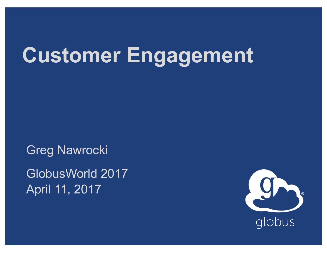## **Customer Engagement**

Greg Nawrocki GlobusWorld 2017 April 11, 2017

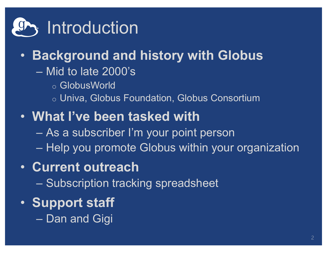

#### • **Background and history with Globus**

- Mid to late 2000's
	- o GlobusWorld
	- o Univa, Globus Foundation, Globus Consortium
- **What I've been tasked with**
	- As a subscriber I'm your point person
	- Help you promote Globus within your organization
- **Current outreach**
	- Subscription tracking spreadsheet
- **Support staff**
	- Dan and Gigi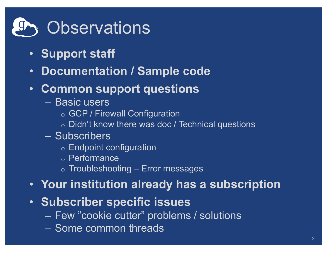# *g*, Observations

- **Support staff**
- **Documentation / Sample code**
- **Common support questions**
	- Basic users
		- o GCP / Firewall Configuration
		- $\circ$  Didn't know there was doc / Technical questions
	- Subscribers
		- o Endpoint configuration
		- o Performance
		- $\circ$  Troubleshooting Error messages
- **Your institution already has a subscription**
- **Subscriber specific issues**
	- Few "cookie cutter" problems / solutions
	- Some common threads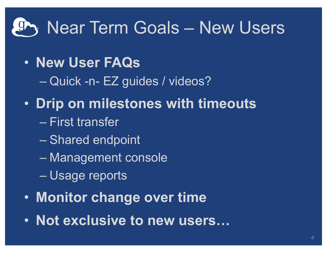### Near Term Goals – New Users

- **New User FAQs**
	- Quick -n- EZ guides / videos?
- **Drip on milestones with timeouts** – First transfer
	- Shared endpoint
	- Management console
	- Usage reports
- **Monitor change over time**
- **Not exclusive to new users…**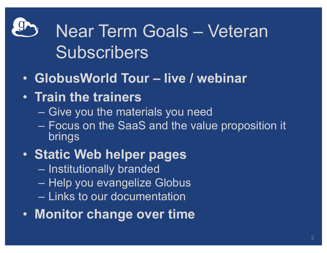# Near Term Goals – Veteran **Subscribers**

- **GlobusWorld Tour – live / webinar**
- **Train the trainers**
	- Give you the materials you need
	- Focus on the SaaS and the value proposition it brings
- **Static Web helper pages**
	- Institutionally branded
	- Help you evangelize Globus
	- Links to our documentation
- **Monitor change over time**